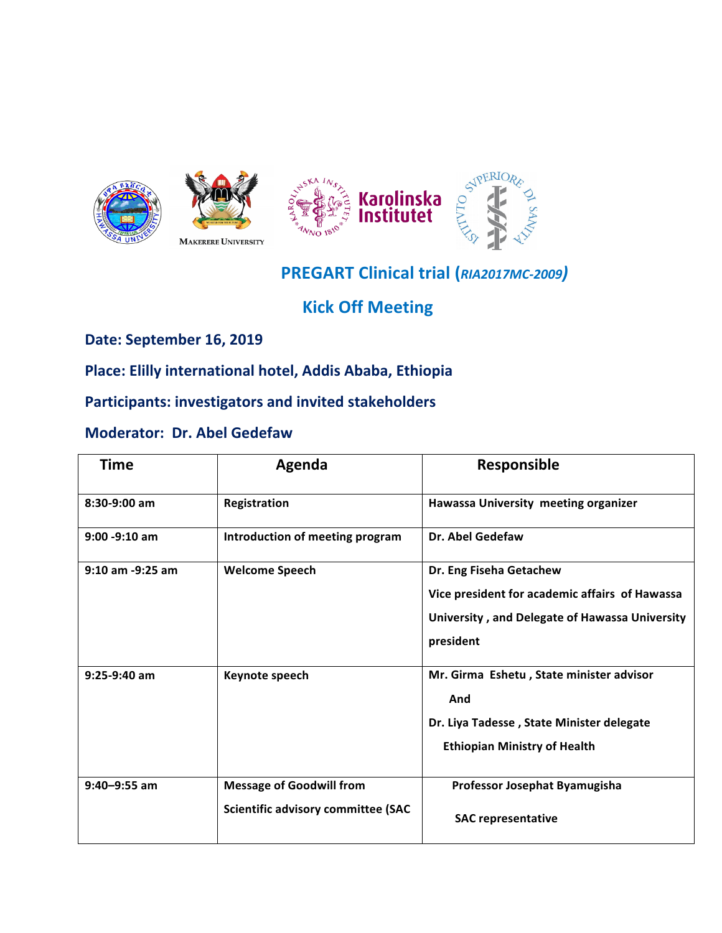



## **PREGART Clinical trial (***RIA2017MC-2009)*

**Kick Off Meeting** 

**Date: September 16, 2019** 

Place: Elilly international hotel, Addis Ababa, Ethiopia

**Participants: investigators and invited stakeholders** 

## **Moderator: Dr. Abel Gedefaw**

| <b>Time</b>          | Agenda                                                                       | <b>Responsible</b>                                                                                                                       |
|----------------------|------------------------------------------------------------------------------|------------------------------------------------------------------------------------------------------------------------------------------|
| 8:30-9:00 am         | Registration                                                                 | Hawassa University meeting organizer                                                                                                     |
| $9:00 - 9:10$ am     | Introduction of meeting program                                              | <b>Dr. Abel Gedefaw</b>                                                                                                                  |
| $9:10$ am $-9:25$ am | <b>Welcome Speech</b>                                                        | Dr. Eng Fiseha Getachew<br>Vice president for academic affairs of Hawassa<br>University, and Delegate of Hawassa University<br>president |
| $9:25-9:40$ am       | Keynote speech                                                               | Mr. Girma Eshetu, State minister advisor<br>And<br>Dr. Liya Tadesse, State Minister delegate<br><b>Ethiopian Ministry of Health</b>      |
| $9:40 - 9:55$ am     | <b>Message of Goodwill from</b><br><b>Scientific advisory committee (SAC</b> | Professor Josephat Byamugisha<br><b>SAC representative</b>                                                                               |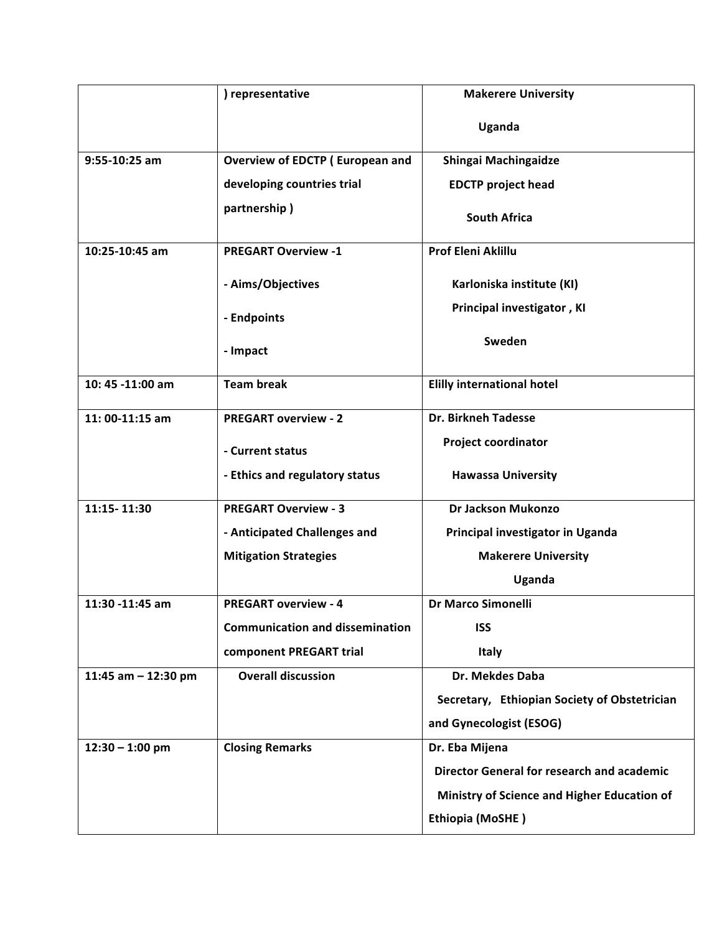|                       | ) representative                       | <b>Makerere University</b>                        |
|-----------------------|----------------------------------------|---------------------------------------------------|
|                       |                                        | Uganda                                            |
| 9:55-10:25 am         | Overview of EDCTP (European and        | Shingai Machingaidze                              |
|                       | developing countries trial             | <b>EDCTP project head</b>                         |
|                       | partnership)                           | <b>South Africa</b>                               |
| 10:25-10:45 am        | <b>PREGART Overview -1</b>             | <b>Prof Eleni Aklillu</b>                         |
|                       | - Aims/Objectives                      | Karloniska institute (KI)                         |
|                       | - Endpoints                            | Principal investigator, KI                        |
|                       | - Impact                               | Sweden                                            |
| 10:45 -11:00 am       | <b>Team break</b>                      | <b>Elilly international hotel</b>                 |
| $11:00-11:15$ am      | <b>PREGART overview - 2</b>            | <b>Dr. Birkneh Tadesse</b>                        |
|                       | - Current status                       | <b>Project coordinator</b>                        |
|                       | - Ethics and regulatory status         | <b>Hawassa University</b>                         |
| 11:15-11:30           | <b>PREGART Overview - 3</b>            | Dr Jackson Mukonzo                                |
|                       | - Anticipated Challenges and           | Principal investigator in Uganda                  |
|                       | <b>Mitigation Strategies</b>           | <b>Makerere University</b>                        |
|                       |                                        | Uganda                                            |
| 11:30 -11:45 am       | <b>PREGART overview - 4</b>            | Dr Marco Simonelli                                |
|                       | <b>Communication and dissemination</b> | <b>ISS</b>                                        |
|                       | component PREGART trial                | <b>Italy</b>                                      |
| 11:45 am $-$ 12:30 pm | <b>Overall discussion</b>              | Dr. Mekdes Daba                                   |
|                       |                                        | Secretary, Ethiopian Society of Obstetrician      |
|                       |                                        | and Gynecologist (ESOG)                           |
| $12:30 - 1:00$ pm     | <b>Closing Remarks</b>                 | Dr. Eba Mijena                                    |
|                       |                                        | <b>Director General for research and academic</b> |
|                       |                                        | Ministry of Science and Higher Education of       |
|                       |                                        | Ethiopia (MoSHE)                                  |